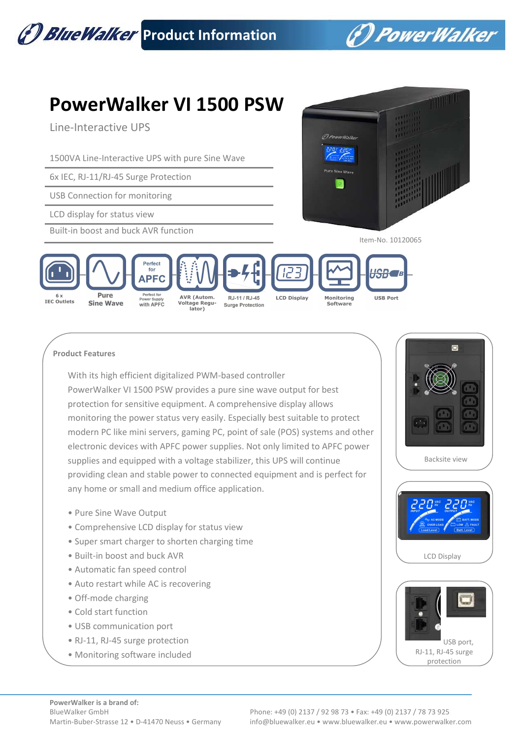

## **Product Features**

With its high efficient digitalized PWM-based controller PowerWalker VI 1500 PSW provides a pure sine wave output for best protection for sensitive equipment. A comprehensive display allows monitoring the power status very easily. Especially best suitable to protect modern PC like mini servers, gaming PC, point of sale (POS) systems and other electronic devices with APFC power supplies. Not only limited to APFC power supplies and equipped with a voltage stabilizer, this UPS will continue providing clean and stable power to connected equipment and is perfect for any home or small and medium office application.

- Pure Sine Wave Output
- Comprehensive LCD display for status view
- Super smart charger to shorten charging time
- Built-in boost and buck AVR
- Automatic fan speed control
- Auto restart while AC is recovering
- Off-mode charging
- Cold start function
- USB communication port
- RJ-11, RJ-45 surge protection
- Monitoring software included